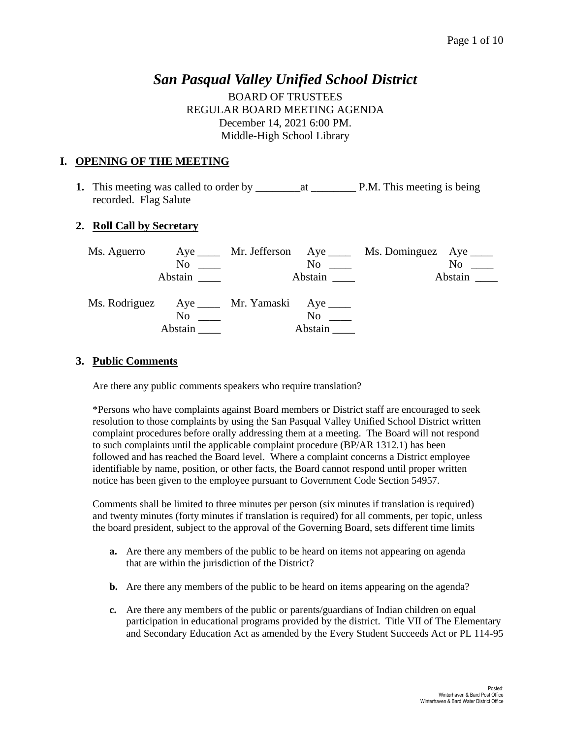## *San Pasqual Valley Unified School District*

BOARD OF TRUSTEES REGULAR BOARD MEETING AGENDA December 14, 2021 6:00 PM. Middle-High School Library

### **I. OPENING OF THE MEETING**

**1.** This meeting was called to order by \_\_\_\_\_\_\_\_at \_\_\_\_\_\_\_\_ P.M. This meeting is being recorded. Flag Salute

### **2. Roll Call by Secretary**

| Ms. Aguerro |                |                                              |                      | Aye ______ Mr. Jefferson Aye _____ Ms. Dominguez Aye _____ |                     |
|-------------|----------------|----------------------------------------------|----------------------|------------------------------------------------------------|---------------------|
|             | N <sub>0</sub> |                                              | $\mathrm{No}$ $\_\_$ |                                                            | N <sub>0</sub>      |
|             | Abstain        |                                              |                      |                                                            | Abstain $\_\_\_\_\$ |
|             | No<br>Abstain  | Ms. Rodriguez Aye _____ Mr. Yamaski Aye ____ | No.<br>Abstain       |                                                            |                     |

### **3. Public Comments**

Are there any public comments speakers who require translation?

\*Persons who have complaints against Board members or District staff are encouraged to seek resolution to those complaints by using the San Pasqual Valley Unified School District written complaint procedures before orally addressing them at a meeting. The Board will not respond to such complaints until the applicable complaint procedure (BP/AR 1312.1) has been followed and has reached the Board level. Where a complaint concerns a District employee identifiable by name, position, or other facts, the Board cannot respond until proper written notice has been given to the employee pursuant to Government Code Section 54957.

Comments shall be limited to three minutes per person (six minutes if translation is required) and twenty minutes (forty minutes if translation is required) for all comments, per topic, unless the board president, subject to the approval of the Governing Board, sets different time limits

- **a.** Are there any members of the public to be heard on items not appearing on agenda that are within the jurisdiction of the District?
- **b.** Are there any members of the public to be heard on items appearing on the agenda?
- **c.** Are there any members of the public or parents/guardians of Indian children on equal participation in educational programs provided by the district. Title VII of The Elementary and Secondary Education Act as amended by the Every Student Succeeds Act or PL 114-95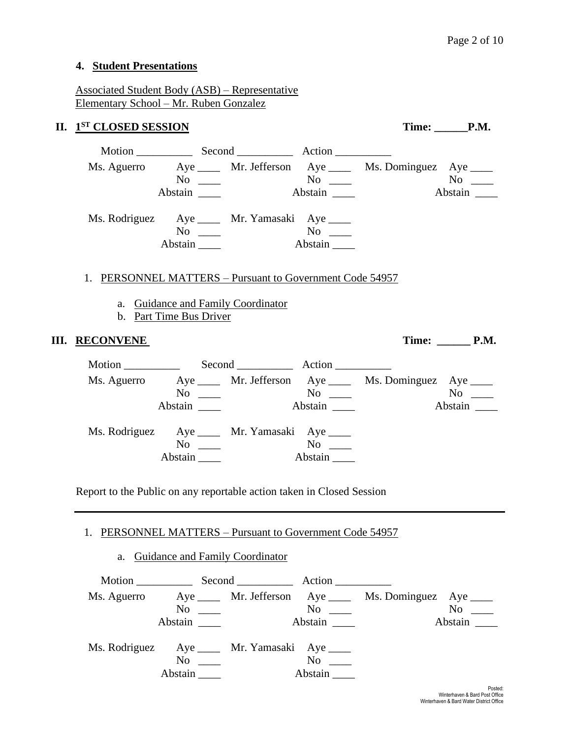### **4. Student Presentations**

Associated Student Body (ASB) – Representative Elementary School – Mr. Ruben Gonzalez

### **II.**  $1^{ST}$  **CLOSED SESSION Time:** \_\_\_\_\_\_\_P.M.

|             |         | Motion Second Action                                                                                                                                   |                      |                         |               |
|-------------|---------|--------------------------------------------------------------------------------------------------------------------------------------------------------|----------------------|-------------------------|---------------|
| Ms. Aguerro | Abstain | Aye ______ Mr. Jefferson Aye _____<br>No and the North States of the North States and the North States of the North States and the North States and Ta | $No \ \_$<br>Abstain | Ms. Dominguez Aye _____ | No<br>Abstain |
|             | Abstain | Ms. Rodriguez Aye _____ Mr. Yamasaki Aye ____<br>No                                                                                                    | $\rm No$<br>Abstain  |                         |               |

### 1. PERSONNEL MATTERS – Pursuant to Government Code 54957

- a. Guidance and Family Coordinator
- b. Part Time Bus Driver

### **III. RECONVENE** Time: P.M.

Motion Second Record Action Ms. Aguerro Aye \_\_\_\_ Mr. Jefferson Aye \_\_\_\_ Ms. Dominguez Aye \_\_\_\_ No \_\_\_ No \_\_ No \_\_ No \_\_ No \_\_ Abstain \_\_\_\_ Abstain \_\_\_ Abstain \_\_\_ Abstain \_\_\_ Ms. Rodriguez Aye \_\_\_\_ Mr. Yamasaki Aye \_\_\_\_ No \_\_\_\_ No \_\_\_ Abstain \_\_\_\_\_ Abstain \_\_\_\_

Report to the Public on any reportable action taken in Closed Session

#### 1. PERSONNEL MATTERS – Pursuant to Government Code 54957

### a. Guidance and Family Coordinator

| Ms. Aguerro                                   |                         |           | Aye ______ Mr. Jefferson Aye _____ Ms. Dominguez Aye _____ |           |
|-----------------------------------------------|-------------------------|-----------|------------------------------------------------------------|-----------|
|                                               | $\mathrm{No} \ \_\_\_\$ | $No \ \_$ |                                                            | $No \_\_$ |
|                                               | Abstain                 |           |                                                            | Abstain   |
|                                               |                         |           |                                                            |           |
| Ms. Rodriguez Aye _____ Mr. Yamasaki Aye ____ |                         |           |                                                            |           |
|                                               | $\mathrm{No} \ \_\_\_\$ | $\rm No$  |                                                            |           |
|                                               | Abstain ____            | Abstain   |                                                            |           |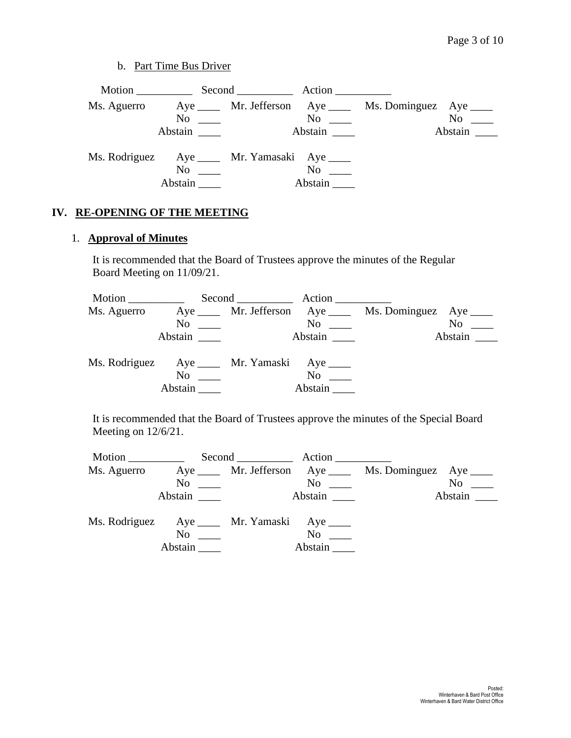b. Part Time Bus Driver

|                                               |                      | Motion Second Action |               |                                                           |           |
|-----------------------------------------------|----------------------|----------------------|---------------|-----------------------------------------------------------|-----------|
| Ms. Aguerro                                   |                      |                      |               | Aye ______ Mr. Jefferson Aye _____ Ms. Dominguez Aye ____ |           |
|                                               | $\mathrm{No}$ $\_\_$ |                      | $No \ \_$     |                                                           | $No \_\_$ |
|                                               | Abstain              |                      | Abstain       |                                                           | Abstain   |
| Ms. Rodriguez Aye _____ Mr. Yamasaki Aye ____ | No<br>Abstain        |                      | No<br>Abstain |                                                           |           |

## **IV. RE-OPENING OF THE MEETING**

## 1. **Approval of Minutes**

It is recommended that the Board of Trustees approve the minutes of the Regular Board Meeting on 11/09/21.

| Motion        |         | Second Action                    |          |                                                           |                     |
|---------------|---------|----------------------------------|----------|-----------------------------------------------------------|---------------------|
| Ms. Aguerro   |         |                                  |          | Aye ______ Mr. Jefferson Aye _____ Ms. Dominguez Aye ____ |                     |
|               | No      |                                  | No       |                                                           | No                  |
|               | Abstain |                                  |          |                                                           | Abstain $\_\_\_\_\$ |
| Ms. Rodriguez |         | Aye ______ Mr. Yamaski Aye _____ |          |                                                           |                     |
|               | No      |                                  | $\rm No$ |                                                           |                     |
|               | Abstain |                                  | Abstain  |                                                           |                     |

It is recommended that the Board of Trustees approve the minutes of the Special Board Meeting on 12/6/21.

|               |                          | Second <u>second</u>               | Action              |                          |         |
|---------------|--------------------------|------------------------------------|---------------------|--------------------------|---------|
| Ms. Aguerro   |                          | Aye ______ Mr. Jefferson Aye _____ |                     | Ms. Dominguez Aye ______ |         |
|               | No<br><u> Tanzania (</u> |                                    | $No \ \_$           |                          | $No \_$ |
|               | Abstain                  |                                    | Abstain             |                          | Abstain |
| Ms. Rodriguez |                          | Aye ______ Mr. Yamaski Aye _____   |                     |                          |         |
|               | No<br>Abstain            |                                    | $\rm No$<br>Abstain |                          |         |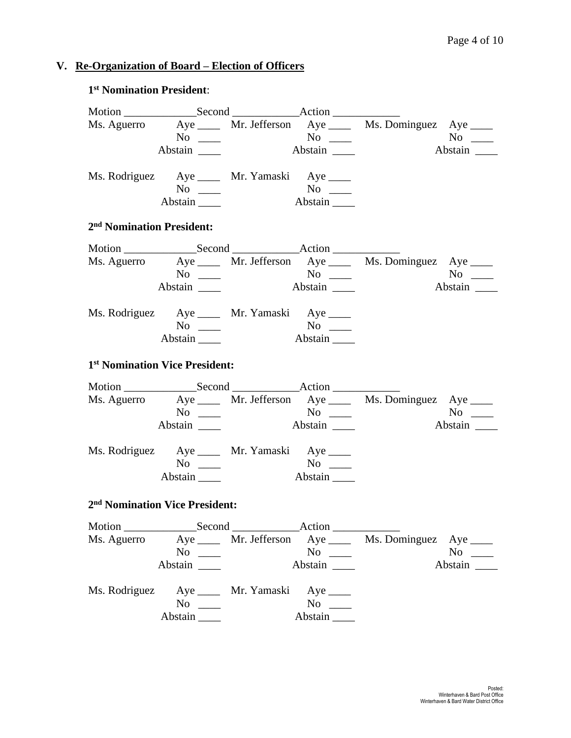### **V. Re-Organization of Board – Election of Officers**

# Motion \_\_\_\_\_\_\_\_\_\_\_\_\_Second \_\_\_\_\_\_\_\_\_\_\_\_Action \_\_\_\_\_\_\_\_\_\_\_\_ Ms. Aguerro  $Aye$  Mr. Jefferson  $Aye$ No \_\_\_\_ No \_\_\_\_ No \_\_\_\_ Abstain \_\_\_\_ Abstain \_\_\_ Abstain \_\_\_ Abstain \_\_\_ Ms. Rodriguez Aye \_\_\_\_ Mr. Yamaski Aye \_\_\_\_ No \_\_\_\_ No \_\_\_ Abstain **Abstain 2 nd Nomination President:** Motion \_\_\_\_\_\_\_\_\_\_\_\_\_Second \_\_\_\_\_\_\_\_\_\_\_\_Action \_\_\_\_\_\_\_\_\_\_\_\_ Ms. Aguerro Aye \_\_\_\_ Mr. Jefferson Aye \_\_\_\_ Ms. Dominguez Aye \_\_\_\_ No \_\_\_ No \_\_ No \_\_ No \_\_ Abstain \_\_\_\_ Abstain \_\_\_ Abstain \_\_\_ Abstain \_\_\_ Ms. Rodriguez Aye \_\_\_\_ Mr. Yamaski Aye \_\_\_\_ No \_\_\_\_ No \_\_\_ Abstain \_\_\_\_ Abstain \_\_\_\_ **1 st Nomination Vice President:** Motion Second Action Ms. Aguerro Aye Mr. Jefferson Aye Ms. Dominguez Aye Manuel Aye Ms. Dominguez Aye Mo No \_\_\_\_ No \_\_\_\_ No \_\_\_\_ Abstain \_\_\_\_ Abstain \_\_\_ Abstain \_\_\_ Abstain \_\_\_ Ms. Rodriguez Aye \_\_\_\_ Mr. Yamaski Aye \_\_\_\_ No \_\_\_\_ No \_\_\_ Abstain **Abstain 2 nd Nomination Vice President:** Motion \_\_\_\_\_\_\_\_\_\_\_\_\_Second \_\_\_\_\_\_\_\_\_\_\_\_Action \_\_\_\_\_\_\_\_\_\_\_\_ Ms. Aguerro Aye \_\_\_\_ Mr. Jefferson Aye \_\_\_\_ Ms. Dominguez Aye \_\_\_\_ No \_\_\_ No \_\_ No \_\_ No \_\_ Abstain \_\_\_\_ Abstain \_\_\_ Abstain \_\_\_ Abstain \_\_\_ Ms. Rodriguez Aye \_\_\_\_\_ Mr. Yamaski Aye \_\_\_\_ No \_\_\_\_ No \_\_\_\_ Abstain **Abstain** Abstain

### **1 st Nomination President**: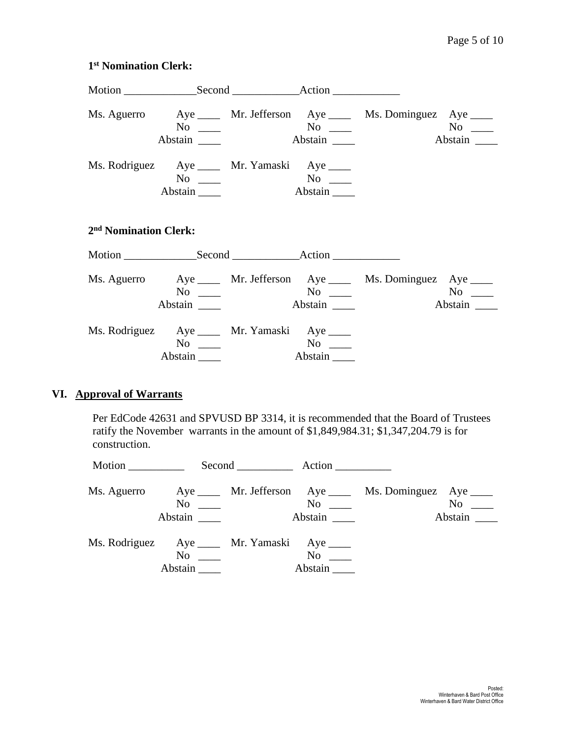|                                              | $No \ \_$<br>Abstain           | $N$ o $\_\_$ |         | Ms. Aguerro Aye ____ Mr. Jefferson Aye ____ Ms. Dominguez Aye ____   |  |
|----------------------------------------------|--------------------------------|--------------|---------|----------------------------------------------------------------------|--|
| Ms. Rodriguez Aye _____ Mr. Yamaski Aye ____ | $No \_$<br>Abstain $\_\_\_\_\$ |              | Abstain |                                                                      |  |
| 2 <sup>nd</sup> Nomination Clerk:            |                                |              |         |                                                                      |  |
|                                              |                                |              |         |                                                                      |  |
|                                              | $No \ \_$                      |              | Abstain | Ms. Aguerro Aye _____ Mr. Jefferson Aye _____ Ms. Dominguez Aye ____ |  |
| Ms. Rodriguez Aye _____ Mr. Yamaski Aye ____ | $No \ \_$<br>Abstain           | $N$ o        | Abstain |                                                                      |  |

### **VI. Approval of Warrants**

Per EdCode 42631 and SPVUSD BP 3314, it is recommended that the Board of Trustees ratify the November warrants in the amount of \$1,849,984.31; \$1,347,204.79 is for construction.

| Motion                                       |           | Second Action          |                                                          |                                                            |                      |
|----------------------------------------------|-----------|------------------------|----------------------------------------------------------|------------------------------------------------------------|----------------------|
| Ms. Aguerro                                  | Abstain   | $\overline{\text{No}}$ | $\overline{N}$ o $\overline{\phantom{0}}$<br>Abstain ___ | Aye ______ Mr. Jefferson Aye _____ Ms. Dominguez Aye _____ | $No \ \_$<br>Abstain |
| Ms. Rodriguez Aye _____ Mr. Yamaski Aye ____ | $No \ \_$ |                        | $No \t —$<br>Abstain                                     |                                                            |                      |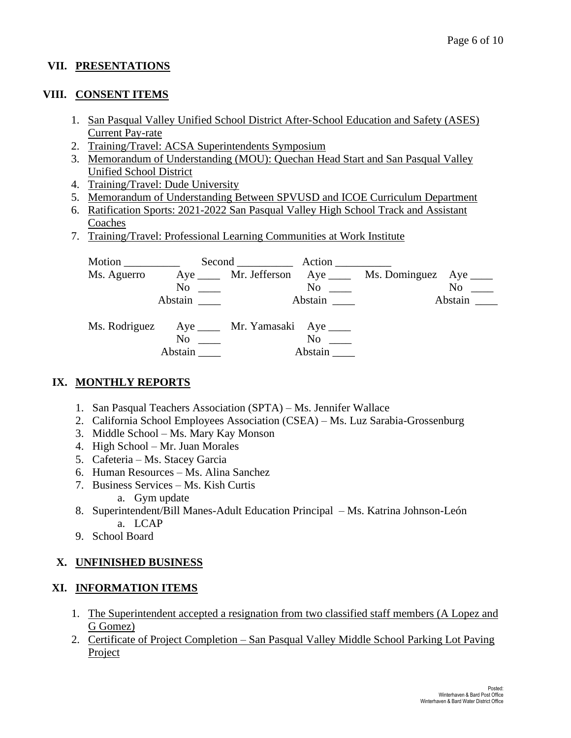## **VII. PRESENTATIONS**

### **VIII. CONSENT ITEMS**

- 1. San Pasqual Valley Unified School District After-School Education and Safety (ASES) Current Pay-rate
- 2. Training/Travel: ACSA Superintendents Symposium
- 3. Memorandum of Understanding (MOU): Quechan Head Start and San Pasqual Valley Unified School District
- 4. Training/Travel: Dude University
- 5. Memorandum of Understanding Between SPVUSD and ICOE Curriculum Department
- 6. Ratification Sports: 2021-2022 San Pasqual Valley High School Track and Assistant Coaches
- 7. Training/Travel: Professional Learning Communities at Work Institute

| Motion $\_\_$ |                      | Second Action                     |                         |                                                            |                |
|---------------|----------------------|-----------------------------------|-------------------------|------------------------------------------------------------|----------------|
| Ms. Aguerro   |                      |                                   |                         | Aye ______ Mr. Jefferson Aye _____ Ms. Dominguez Aye _____ |                |
|               | $\mathrm{No}$ $\_\_$ |                                   | $\mathrm{No} \ \_\_\_\$ |                                                            | N <sub>o</sub> |
|               | Abstain              |                                   | Abstain                 |                                                            | Abstain        |
| Ms. Rodriguez |                      | Aye ______ Mr. Yamasaki Aye _____ |                         |                                                            |                |
|               | No                   |                                   | $\rm No$                |                                                            |                |
|               | Abstain              |                                   | Abstain                 |                                                            |                |

### **IX. MONTHLY REPORTS**

- 1. San Pasqual Teachers Association (SPTA) Ms. Jennifer Wallace
- 2. California School Employees Association (CSEA) Ms. Luz Sarabia-Grossenburg
- 3. Middle School Ms. Mary Kay Monson
- 4. High School Mr. Juan Morales
- 5. Cafeteria Ms. Stacey Garcia
- 6. Human Resources Ms. Alina Sanchez
- 7. Business Services Ms. Kish Curtis
	- a. Gym update
- 8. Superintendent/Bill Manes-Adult Education Principal Ms. Katrina Johnson-León a. LCAP
- 9. School Board

### **X. UNFINISHED BUSINESS**

### **XI. INFORMATION ITEMS**

- 1. The Superintendent accepted a resignation from two classified staff members (A Lopez and G Gomez)
- 2. Certificate of Project Completion San Pasqual Valley Middle School Parking Lot Paving Project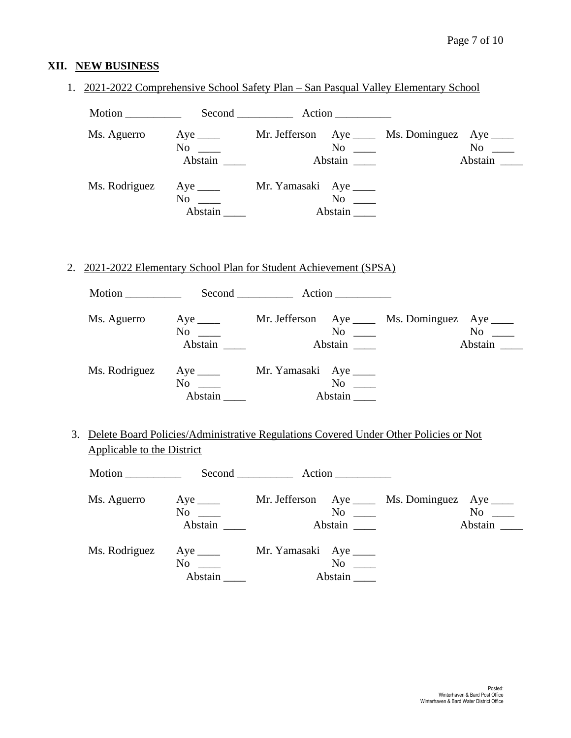## **XII. NEW BUSINESS**

| Ms. Aguerro                                                                             | $No \ \_$<br>Abstain $\qquad$                                                               | Abstain                | $\overline{N_0}$ $\overline{\phantom{0}}$ | Aye ______ Mr. Jefferson Aye _____ Ms. Dominguez Aye ____ | $No \_$<br>Abstain   |
|-----------------------------------------------------------------------------------------|---------------------------------------------------------------------------------------------|------------------------|-------------------------------------------|-----------------------------------------------------------|----------------------|
|                                                                                         | Ms. Rodriguez Aye _____ Mr. Yamasaki Aye ____<br>$No \ \_$<br>Abstain                       |                        |                                           |                                                           |                      |
| 2. 2021-2022 Elementary School Plan for Student Achievement (SPSA)                      |                                                                                             |                        |                                           |                                                           |                      |
|                                                                                         |                                                                                             |                        |                                           |                                                           |                      |
| Ms. Aguerro                                                                             | Aye ______ Mr. Jefferson Aye _____ Ms. Dominguez Aye ____<br>$No \ \_$<br>Abstain           | Abstain                |                                           |                                                           | $No \_$<br>Abstain   |
|                                                                                         | Ms. Rodriguez Aye _____ Mr. Yamasaki Aye ____<br>$No \ \_$<br>Abstain $\_\_\_\_\$           |                        | $N$ o<br>Abstain                          |                                                           |                      |
| 3. Delete Board Policies/Administrative Regulations Covered Under Other Policies or Not |                                                                                             |                        |                                           |                                                           |                      |
| Applicable to the District                                                              |                                                                                             |                        |                                           |                                                           |                      |
|                                                                                         |                                                                                             |                        |                                           |                                                           |                      |
|                                                                                         | Ms. Aguerro Aye _____ Mr. Jefferson Aye ____ Ms. Dominguez Aye ____<br>$No \ \_$<br>Abstain |                        | $No \ \_$<br>Abstain                      |                                                           | $No \_\_$<br>Abstain |
| Ms. Rodriguez                                                                           | $Aye$ <sub>____</sub><br>$No \ \_$                                                          | Mr. Yamasaki Aye _____ | $No \ \_$                                 |                                                           |                      |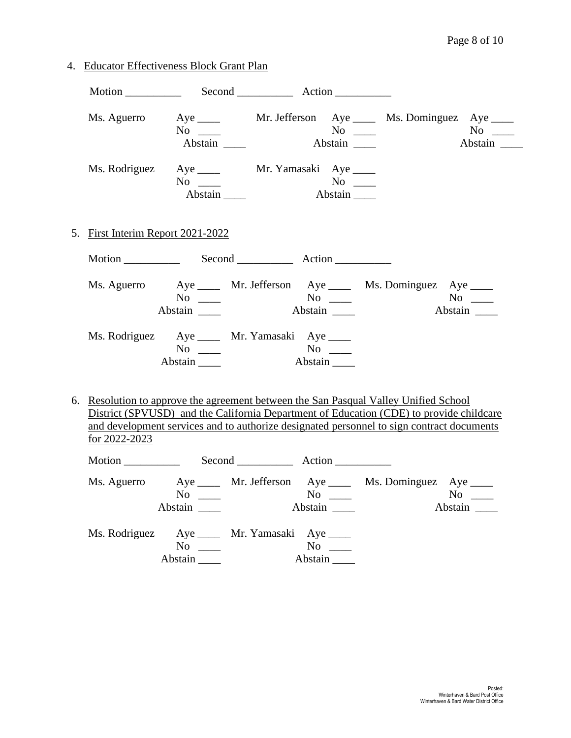4. Educator Effectiveness Block Grant Plan

|                                               | $No \ \_$<br>Abstain |         | Ms. Aguerro Aye _____ Mr. Jefferson Aye _____ Ms. Dominguez Aye ____                                                                                                                                                                                                         | Abstain              |
|-----------------------------------------------|----------------------|---------|------------------------------------------------------------------------------------------------------------------------------------------------------------------------------------------------------------------------------------------------------------------------------|----------------------|
| Ms. Rodriguez Aye _____ Mr. Yamasaki Aye ____ | $No \ \_$<br>Abstain | Abstain |                                                                                                                                                                                                                                                                              |                      |
| 5. First Interim Report 2021-2022             |                      |         |                                                                                                                                                                                                                                                                              |                      |
|                                               |                      |         |                                                                                                                                                                                                                                                                              |                      |
|                                               | $No \ \_$<br>Abstain |         | Ms. Aguerro Aye _____ Mr. Jefferson Aye _____ Ms. Dominguez Aye ____                                                                                                                                                                                                         | $No \ \_$<br>Abstain |
| Ms. Rodriguez Aye _____ Mr. Yamasaki Aye ____ | $No \ \_$<br>Abstain | Abstain |                                                                                                                                                                                                                                                                              |                      |
| for 2022-2023                                 |                      |         | 6. Resolution to approve the agreement between the San Pasqual Valley Unified School<br>District (SPVUSD) and the California Department of Education (CDE) to provide childcare<br>and development services and to authorize designated personnel to sign contract documents |                      |

| Motion      |                                                      | Second <u>second</u>                          | $Action$ <sub>______________</sub> |                                                           |                      |
|-------------|------------------------------------------------------|-----------------------------------------------|------------------------------------|-----------------------------------------------------------|----------------------|
| Ms. Aguerro | $\overline{N_0}$ $\overline{\phantom{0}}$<br>Abstain |                                               | No<br>Abstain                      | Aye ______ Mr. Jefferson Aye _____ Ms. Dominguez Aye ____ | $No \ \_$<br>Abstain |
|             | No<br>Abstain                                        | Ms. Rodriguez Aye _____ Mr. Yamasaki Aye ____ | No<br>Abstain                      |                                                           |                      |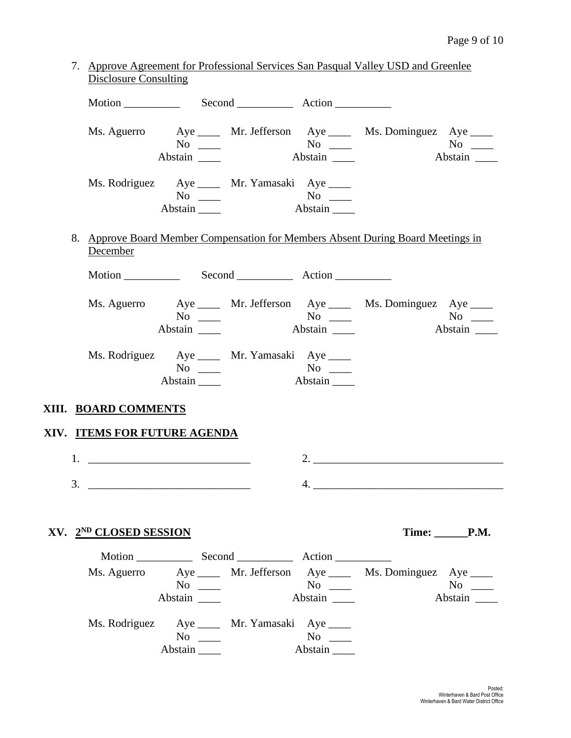| 7. Approve Agreement for Professional Services San Pasqual Valley USD and Greenlee |
|------------------------------------------------------------------------------------|
| Disclosure Consulting                                                              |
|                                                                                    |

|                              | $No \ \_$<br>Abstain                                                  | $\overline{N_0}$<br>Abstain                    | Ms. Aguerro Aye _____ Mr. Jefferson Aye _____ Ms. Dominguez Aye ____             | $No \_$              |
|------------------------------|-----------------------------------------------------------------------|------------------------------------------------|----------------------------------------------------------------------------------|----------------------|
|                              | Ms. Rodriguez Aye _____ Mr. Yamasaki Aye ____<br>Abstain              | $\text{No}$ $\text{No}$ $\text{No}$<br>Abstain |                                                                                  |                      |
| December                     |                                                                       |                                                | 8. Approve Board Member Compensation for Members Absent During Board Meetings in |                      |
|                              |                                                                       |                                                |                                                                                  |                      |
|                              | Abstain                                                               | Abstain                                        | Ms. Aguerro Aye _____ Mr. Jefferson Aye _____ Ms. Dominguez Aye ____             | Abstain              |
|                              | Ms. Rodriguez Aye _____ Mr. Yamasaki Aye ____<br>$No \ \_$<br>Abstain | Abstain                                        |                                                                                  |                      |
| XIII. BOARD COMMENTS         |                                                                       |                                                |                                                                                  |                      |
| XIV. ITEMS FOR FUTURE AGENDA |                                                                       |                                                |                                                                                  |                      |
|                              |                                                                       |                                                |                                                                                  |                      |
| 3.                           |                                                                       |                                                |                                                                                  |                      |
| XV. 2ND CLOSED SESSION       |                                                                       |                                                |                                                                                  | Time: P.M.           |
|                              |                                                                       |                                                |                                                                                  |                      |
|                              | $No \ \_$                                                             |                                                | Ms. Aguerro Aye _____ Mr. Jefferson Aye _____ Ms. Dominguez Aye ____             | $No \ \_$<br>Abstain |
|                              | Ms. Rodriguez Aye _____ Mr. Yamasaki Aye ____<br>$No \t —$            | $No \ \_$                                      |                                                                                  |                      |